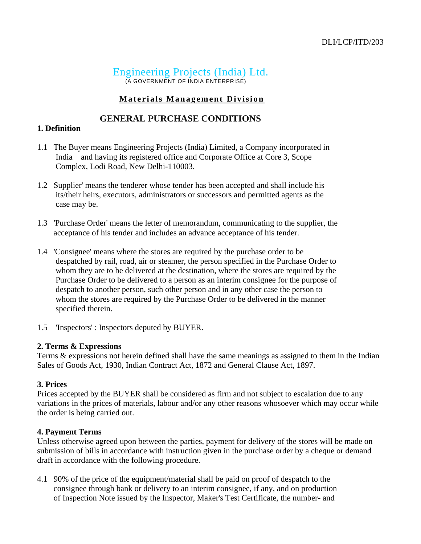# Engineering Projects (India) Ltd. (A GOVERNMENT OF INDIA ENTERPRISE)

## **Materials Management Division**

## **GENERAL PURCHASE CONDITIONS**

#### **1. Definition**

- 1.1 The Buyer means Engineering Projects (India) Limited, a Company incorporated in India and having its registered office and Corporate Office at Core 3, Scope Complex, Lodi Road, New Delhi-110003.
- 1.2 Supplier' means the tenderer whose tender has been accepted and shall include his its/their heirs, executors, administrators or successors and permitted agents as the case may be.
- 1.3 'Purchase Order' means the letter of memorandum, communicating to the supplier, the acceptance of his tender and includes an advance acceptance of his tender.
- 1.4 'Consignee' means where the stores are required by the purchase order to be despatched by rail, road, air or steamer, the person specified in the Purchase Order to whom they are to be delivered at the destination, where the stores are required by the Purchase Order to be delivered to a person as an interim consignee for the purpose of despatch to another person, such other person and in any other case the person to whom the stores are required by the Purchase Order to be delivered in the manner specified therein.
- 1.5 'Inspectors' : Inspectors deputed by BUYER.

#### **2. Terms & Expressions**

Terms & expressions not herein defined shall have the same meanings as assigned to them in the Indian Sales of Goods Act, 1930, Indian Contract Act, 1872 and General Clause Act, 1897.

#### **3. Prices**

Prices accepted by the BUYER shall be considered as firm and not subject to escalation due to any variations in the prices of materials, labour and/or any other reasons whosoever which may occur while the order is being carried out.

#### **4. Payment Terms**

Unless otherwise agreed upon between the parties, payment for delivery of the stores will be made on submission of bills in accordance with instruction given in the purchase order by a cheque or demand draft in accordance with the following procedure.

4.1 90% of the price of the equipment/material shall be paid on proof of despatch to the consignee through bank or delivery to an interim consignee, if any, and on production of Inspection Note issued by the Inspector, Maker's Test Certificate, the number- and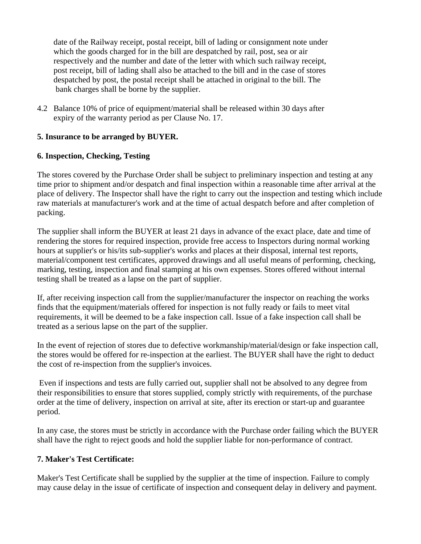date of the Railway receipt, postal receipt, bill of lading or consignment note under which the goods charged for in the bill are despatched by rail, post, sea or air respectively and the number and date of the letter with which such railway receipt, post receipt, bill of lading shall also be attached to the bill and in the case of stores despatched by post, the postal receipt shall be attached in original to the bill. The bank charges shall be borne by the supplier.

4.2 Balance 10% of price of equipment/material shall be released within 30 days after expiry of the warranty period as per Clause No. 17.

### **5. Insurance to be arranged by BUYER.**

## **6. Inspection, Checking, Testing**

The stores covered by the Purchase Order shall be subject to preliminary inspection and testing at any time prior to shipment and/or despatch and final inspection within a reasonable time after arrival at the place of delivery. The Inspector shall have the right to carry out the inspection and testing which include raw materials at manufacturer's work and at the time of actual despatch before and after completion of packing.

The supplier shall inform the BUYER at least 21 days in advance of the exact place, date and time of rendering the stores for required inspection, provide free access to Inspectors during normal working hours at supplier's or his/its sub-supplier's works and places at their disposal, internal test reports, material/component test certificates, approved drawings and all useful means of performing, checking, marking, testing, inspection and final stamping at his own expenses. Stores offered without internal testing shall be treated as a lapse on the part of supplier.

If, after receiving inspection call from the supplier/manufacturer the inspector on reaching the works finds that the equipment/materials offered for inspection is not fully ready or fails to meet vital requirements, it will be deemed to be a fake inspection call. Issue of a fake inspection call shall be treated as a serious lapse on the part of the supplier.

In the event of rejection of stores due to defective workmanship/material/design or fake inspection call, the stores would be offered for re-inspection at the earliest. The BUYER shall have the right to deduct the cost of re-inspection from the supplier's invoices.

 Even if inspections and tests are fully carried out, supplier shall not be absolved to any degree from their responsibilities to ensure that stores supplied, comply strictly with requirements, of the purchase order at the time of delivery, inspection on arrival at site, after its erection or start-up and guarantee period.

In any case, the stores must be strictly in accordance with the Purchase order failing which the BUYER shall have the right to reject goods and hold the supplier liable for non-performance of contract.

### **7. Maker's Test Certificate:**

Maker's Test Certificate shall be supplied by the supplier at the time of inspection. Failure to comply may cause delay in the issue of certificate of inspection and consequent delay in delivery and payment.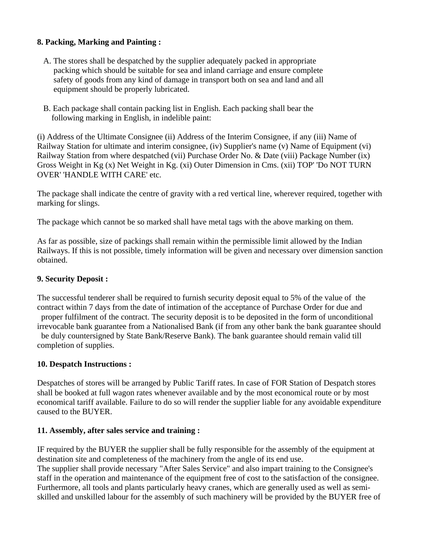## **8. Packing, Marking and Painting :**

- A. The stores shall be despatched by the supplier adequately packed in appropriate packing which should be suitable for sea and inland carriage and ensure complete safety of goods from any kind of damage in transport both on sea and land and all equipment should be properly lubricated.
- B. Each package shall contain packing list in English. Each packing shall bear the following marking in English, in indelible paint:

(i) Address of the Ultimate Consignee (ii) Address of the Interim Consignee, if any (iii) Name of Railway Station for ultimate and interim consignee, (iv) Supplier's name (v) Name of Equipment (vi) Railway Station from where despatched (vii) Purchase Order No. & Date (viii) Package Number (ix) Gross Weight in Kg (x) Net Weight in Kg. (xi) Outer Dimension in Cms. (xii) TOP' 'Do NOT TURN OVER' 'HANDLE WITH CARE' etc.

The package shall indicate the centre of gravity with a red vertical line, wherever required, together with marking for slings.

The package which cannot be so marked shall have metal tags with the above marking on them.

As far as possible, size of packings shall remain within the permissible limit allowed by the Indian Railways. If this is not possible, timely information will be given and necessary over dimension sanction obtained.

### **9. Security Deposit :**

The successful tenderer shall be required to furnish security deposit equal to 5% of the value of the contract within 7 days from the date of intimation of the acceptance of Purchase Order for due and proper fulfilment of the contract. The security deposit is to be deposited in the form of unconditional irrevocable bank guarantee from a Nationalised Bank (if from any other bank the bank guarantee should be duly countersigned by State Bank/Reserve Bank). The bank guarantee should remain valid till completion of supplies.

### **10. Despatch Instructions :**

Despatches of stores will be arranged by Public Tariff rates. In case of FOR Station of Despatch stores shall be booked at full wagon rates whenever available and by the most economical route or by most economical tariff available. Failure to do so will render the supplier liable for any avoidable expenditure caused to the BUYER.

### **11. Assembly, after sales service and training :**

IF required by the BUYER the supplier shall be fully responsible for the assembly of the equipment at destination site and completeness of the machinery from the angle of its end use. The supplier shall provide necessary "After Sales Service" and also impart training to the Consignee's staff in the operation and maintenance of the equipment free of cost to the satisfaction of the consignee. Furthermore, all tools and plants particularly heavy cranes, which are generally used as well as semiskilled and unskilled labour for the assembly of such machinery will be provided by the BUYER free of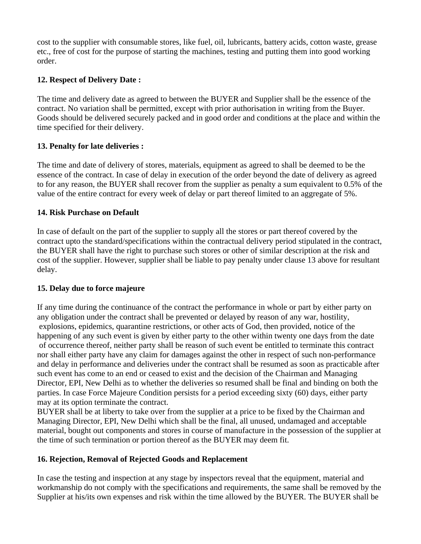cost to the supplier with consumable stores, like fuel, oil, lubricants, battery acids, cotton waste, grease etc., free of cost for the purpose of starting the machines, testing and putting them into good working order.

# **12. Respect of Delivery Date :**

The time and delivery date as agreed to between the BUYER and Supplier shall be the essence of the contract. No variation shall be permitted, except with prior authorisation in writing from the Buyer. Goods should be delivered securely packed and in good order and conditions at the place and within the time specified for their delivery.

## **13. Penalty for late deliveries :**

The time and date of delivery of stores, materials, equipment as agreed to shall be deemed to be the essence of the contract. In case of delay in execution of the order beyond the date of delivery as agreed to for any reason, the BUYER shall recover from the supplier as penalty a sum equivalent to 0.5% of the value of the entire contract for every week of delay or part thereof limited to an aggregate of 5%.

### **14. Risk Purchase on Default**

In case of default on the part of the supplier to supply all the stores or part thereof covered by the contract upto the standard/specifications within the contractual delivery period stipulated in the contract, the BUYER shall have the right to purchase such stores or other of similar description at the risk and cost of the supplier. However, supplier shall be liable to pay penalty under clause 13 above for resultant delay.

### **15. Delay due to force majeure**

If any time during the continuance of the contract the performance in whole or part by either party on any obligation under the contract shall be prevented or delayed by reason of any war, hostility, explosions, epidemics, quarantine restrictions, or other acts of God, then provided, notice of the happening of any such event is given by either party to the other within twenty one days from the date of occurrence thereof, neither party shall be reason of such event be entitled to terminate this contract nor shall either party have any claim for damages against the other in respect of such non-performance and delay in performance and deliveries under the contract shall be resumed as soon as practicable after such event has come to an end or ceased to exist and the decision of the Chairman and Managing Director, EPI, New Delhi as to whether the deliveries so resumed shall be final and binding on both the parties. In case Force Majeure Condition persists for a period exceeding sixty (60) days, either party may at its option terminate the contract.

BUYER shall be at liberty to take over from the supplier at a price to be fixed by the Chairman and Managing Director, EPI, New Delhi which shall be the final, all unused, undamaged and acceptable material, bought out components and stores in course of manufacture in the possession of the supplier at the time of such termination or portion thereof as the BUYER may deem fit.

### **16. Rejection, Removal of Rejected Goods and Replacement**

In case the testing and inspection at any stage by inspectors reveal that the equipment, material and workmanship do not comply with the specifications and requirements, the same shall be removed by the Supplier at his/its own expenses and risk within the time allowed by the BUYER. The BUYER shall be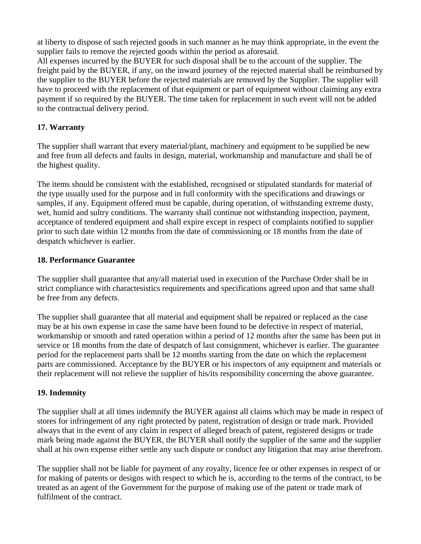at liberty to dispose of such rejected goods in such manner as he may think appropriate, in the event the supplier fails to remove the rejected goods within the period as aforesaid.

All expenses incurred by the BUYER for such disposal shall be to the account of the supplier. The freight paid by the BUYER, if any, on the inward journey of the rejected material shall be reimbursed by the supplier to the BUYER before the rejected materials are removed by the Supplier. The supplier will have to proceed with the replacement of that equipment or part of equipment without claiming any extra payment if so required by the BUYER. The time taken for replacement in such event will not be added to the contractual delivery period.

# **17. Warranty**

The supplier shall warrant that every material/plant, machinery and equipment to be supplied be new and free from all defects and faults in design, material, workmanship and manufacture and shall be of the highest quality.

The items should be consistent with the established, recognised or stipulated standards for material of the type usually used for the purpose and in full conformity with the specifications and drawings or samples, if any. Equipment offered must be capable, during operation, of withstanding extreme dusty, wet, humid and sultry conditions. The warranty shall continue not withstanding inspection, payment, acceptance of tendered equipment and shall expire except in respect of complaints notified to supplier prior to such date within 12 months from the date of commissioning or 18 months from the date of despatch whichever is earlier.

## **18. Performance Guarantee**

The supplier shall guarantee that any/all material used in execution of the Purchase Order shall be in strict compliance with charactesistics requirements and specifications agreed upon and that same shall be free from any defects.

The supplier shall guarantee that all material and equipment shall be repaired or replaced as the case may be at his own expense in case the same have been found to be defective in respect of material, workmanship or smooth and rated operation within a period of 12 months after the same has been put in service or 18 months from the date of despatch of last consignment, whichever is earlier. The guarantee period for the replacement parts shall be 12 months starting from the date on which the replacement parts are commissioned. Acceptance by the BUYER or his inspectors of any equipment and materials or their replacement will not relieve the supplier of his/its responsibility concerning the above guarantee.

# **19. Indemnity**

The supplier shall at all times indemnify the BUYER against all claims which may be made in respect of stores for infringement of any right protected by patent, registration of design or trade mark. Provided always that in the event of any claim in respect of alleged breach of patent, registered designs or trade mark being made against the BUYER, the BUYER shall notify the supplier of the same and the supplier shall at his own expense either settle any such dispute or conduct any litigation that may arise therefrom.

The supplier shall not be liable for payment of any royalty, licence fee or other expenses in respect of or for making of patents or designs with respect to which he is, according to the terms of the contract, to be treated as an agent of the Government for the purpose of making use of the patent or trade mark of fulfilment of the contract.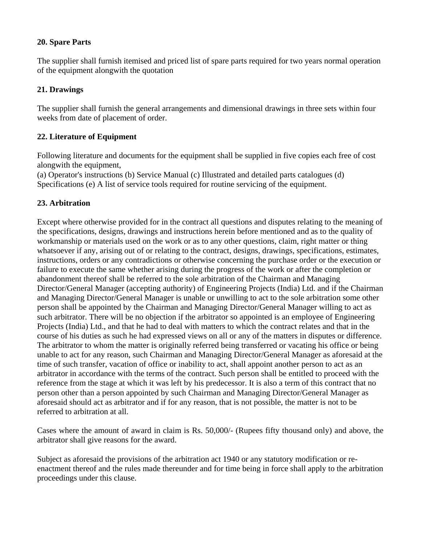### **20. Spare Parts**

The supplier shall furnish itemised and priced list of spare parts required for two years normal operation of the equipment alongwith the quotation

### **21. Drawings**

The supplier shall furnish the general arrangements and dimensional drawings in three sets within four weeks from date of placement of order.

## **22. Literature of Equipment**

Following literature and documents for the equipment shall be supplied in five copies each free of cost alongwith the equipment,

(a) Operator's instructions (b) Service Manual (c) Illustrated and detailed parts catalogues (d) Specifications (e) A list of service tools required for routine servicing of the equipment.

## **23. Arbitration**

Except where otherwise provided for in the contract all questions and disputes relating to the meaning of the specifications, designs, drawings and instructions herein before mentioned and as to the quality of workmanship or materials used on the work or as to any other questions, claim, right matter or thing whatsoever if any, arising out of or relating to the contract, designs, drawings, specifications, estimates, instructions, orders or any contradictions or otherwise concerning the purchase order or the execution or failure to execute the same whether arising during the progress of the work or after the completion or abandonment thereof shall be referred to the sole arbitration of the Chairman and Managing Director/General Manager (accepting authority) of Engineering Projects (India) Ltd. and if the Chairman and Managing Director/General Manager is unable or unwilling to act to the sole arbitration some other person shall be appointed by the Chairman and Managing Director/General Manager willing to act as such arbitrator. There will be no objection if the arbitrator so appointed is an employee of Engineering Projects (India) Ltd., and that he had to deal with matters to which the contract relates and that in the course of his duties as such he had expressed views on all or any of the matters in disputes or difference. The arbitrator to whom the matter is originally referred being transferred or vacating his office or being unable to act for any reason, such Chairman and Managing Director/General Manager as aforesaid at the time of such transfer, vacation of office or inability to act, shall appoint another person to act as an arbitrator in accordance with the terms of the contract. Such person shall be entitled to proceed with the reference from the stage at which it was left by his predecessor. It is also a term of this contract that no person other than a person appointed by such Chairman and Managing Director/General Manager as aforesaid should act as arbitrator and if for any reason, that is not possible, the matter is not to be referred to arbitration at all.

Cases where the amount of award in claim is Rs. 50,000/- (Rupees fifty thousand only) and above, the arbitrator shall give reasons for the award.

Subject as aforesaid the provisions of the arbitration act 1940 or any statutory modification or reenactment thereof and the rules made thereunder and for time being in force shall apply to the arbitration proceedings under this clause.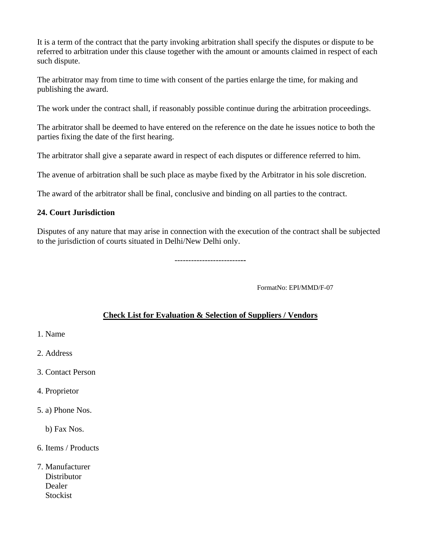It is a term of the contract that the party invoking arbitration shall specify the disputes or dispute to be referred to arbitration under this clause together with the amount or amounts claimed in respect of each such dispute.

The arbitrator may from time to time with consent of the parties enlarge the time, for making and publishing the award.

The work under the contract shall, if reasonably possible continue during the arbitration proceedings.

The arbitrator shall be deemed to have entered on the reference on the date he issues notice to both the parties fixing the date of the first hearing.

The arbitrator shall give a separate award in respect of each disputes or difference referred to him.

The avenue of arbitration shall be such place as maybe fixed by the Arbitrator in his sole discretion.

The award of the arbitrator shall be final, conclusive and binding on all parties to the contract.

#### **24. Court Jurisdiction**

Disputes of any nature that may arise in connection with the execution of the contract shall be subjected to the jurisdiction of courts situated in Delhi/New Delhi only.

------------------------**--** 

FormatNo: EPI/MMD/F-07

### **Check List for Evaluation & Selection of Suppliers / Vendors**

1. Name

2. Address

- 3. Contact Person
- 4. Proprietor
- 5. a) Phone Nos.

b) Fax Nos.

- 6. Items / Products
- 7. Manufacturer **Distributor**  Dealer **Stockist**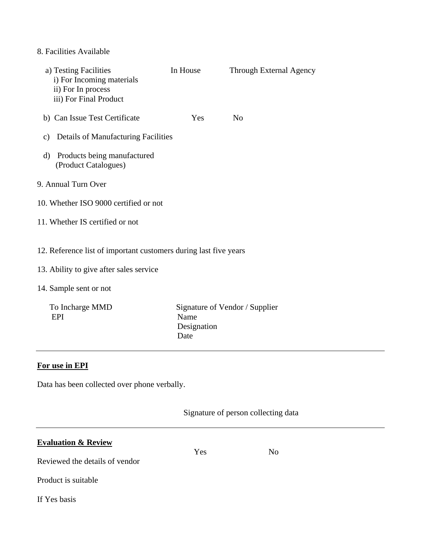## 8. Facilities Available

| a) Testing Facilities<br>i) For Incoming materials<br>ii) For In process<br>iii) For Final Product          | In House                    | Through External Agency        |
|-------------------------------------------------------------------------------------------------------------|-----------------------------|--------------------------------|
| b) Can Issue Test Certificate                                                                               | <b>Yes</b>                  | N <sub>o</sub>                 |
| <b>Details of Manufacturing Facilities</b><br>$\mathbf{c})$                                                 |                             |                                |
| Products being manufactured<br>d)<br>(Product Catalogues)                                                   |                             |                                |
| 9. Annual Turn Over                                                                                         |                             |                                |
| 10. Whether ISO 9000 certified or not                                                                       |                             |                                |
| 11. Whether IS certified or not                                                                             |                             |                                |
| 12. Reference list of important customers during last five years<br>13. Ability to give after sales service |                             |                                |
|                                                                                                             |                             |                                |
| 14. Sample sent or not                                                                                      |                             |                                |
| To Incharge MMD<br>EPI                                                                                      | Name<br>Designation<br>Date | Signature of Vendor / Supplier |

# **For use in EPI**

Data has been collected over phone verbally.

Yes No

Signature of person collecting data

# **Evaluation & Review**

Reviewed the details of vendor

Product is suitable

If Yes basis